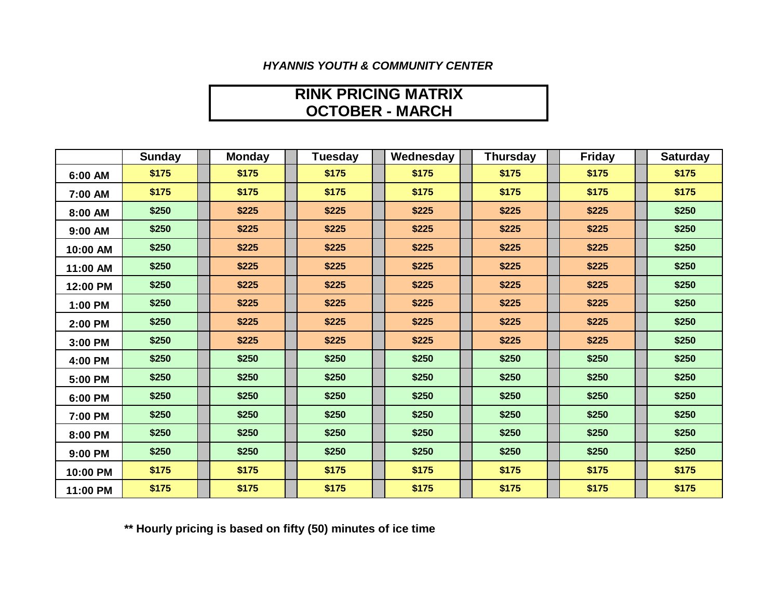### *HYANNIS YOUTH & COMMUNITY CENTER*

## **OCTOBER - MARCH RINK PRICING MATRIX**

|          | <b>Sunday</b> | <b>Monday</b> | Tuesday | Wednesday | <b>Thursday</b> | <b>Friday</b> | <b>Saturday</b> |
|----------|---------------|---------------|---------|-----------|-----------------|---------------|-----------------|
| 6:00 AM  | \$175         | \$175         | \$175   | \$175     | \$175           | \$175         | \$175           |
| 7:00 AM  | \$175         | \$175         | \$175   | \$175     | \$175           | \$175         | \$175           |
| 8:00 AM  | \$250         | \$225         | \$225   | \$225     | \$225           | \$225         | \$250           |
| 9:00 AM  | \$250         | \$225         | \$225   | \$225     | \$225           | \$225         | \$250           |
| 10:00 AM | \$250         | \$225         | \$225   | \$225     | \$225           | \$225         | \$250           |
| 11:00 AM | \$250         | \$225         | \$225   | \$225     | \$225           | \$225         | \$250           |
| 12:00 PM | \$250         | \$225         | \$225   | \$225     | \$225           | \$225         | \$250           |
| 1:00 PM  | \$250         | \$225         | \$225   | \$225     | \$225           | \$225         | \$250           |
| 2:00 PM  | \$250         | \$225         | \$225   | \$225     | \$225           | \$225         | \$250           |
| 3:00 PM  | \$250         | \$225         | \$225   | \$225     | \$225           | \$225         | \$250           |
| 4:00 PM  | \$250         | \$250         | \$250   | \$250     | \$250           | \$250         | \$250           |
| 5:00 PM  | \$250         | \$250         | \$250   | \$250     | \$250           | \$250         | \$250           |
| 6:00 PM  | \$250         | \$250         | \$250   | \$250     | \$250           | \$250         | \$250           |
| 7:00 PM  | \$250         | \$250         | \$250   | \$250     | \$250           | \$250         | \$250           |
| 8:00 PM  | \$250         | \$250         | \$250   | \$250     | \$250           | \$250         | \$250           |
| 9:00 PM  | \$250         | \$250         | \$250   | \$250     | \$250           | \$250         | \$250           |
| 10:00 PM | \$175         | \$175         | \$175   | \$175     | \$175           | \$175         | \$175           |
| 11:00 PM | \$175         | \$175         | \$175   | \$175     | \$175           | \$175         | \$175           |

**\*\* Hourly pricing is based on fifty (50) minutes of ice time**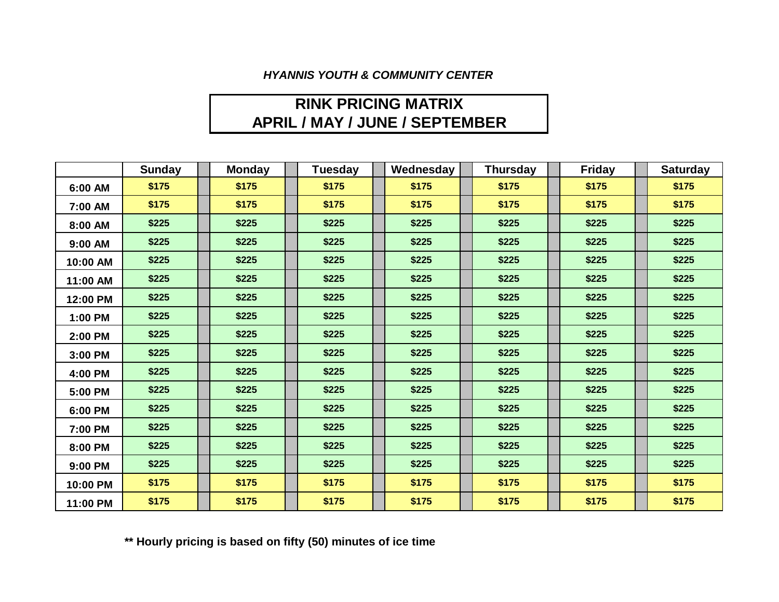#### *HYANNIS YOUTH & COMMUNITY CENTER*

# **RINK PRICING MATRIX APRIL / MAY / JUNE / SEPTEMBER**

|          | <b>Sunday</b> | <b>Monday</b> | <b>Tuesday</b> | Wednesday | <b>Thursday</b> | Friday | <b>Saturday</b> |
|----------|---------------|---------------|----------------|-----------|-----------------|--------|-----------------|
| 6:00 AM  | \$175         | \$175         | \$175          | \$175     | \$175           | \$175  | \$175           |
| 7:00 AM  | \$175         | \$175         | \$175          | \$175     | \$175           | \$175  | \$175           |
| 8:00 AM  | \$225         | \$225         | \$225          | \$225     | \$225           | \$225  | \$225           |
| 9:00 AM  | \$225         | \$225         | \$225          | \$225     | \$225           | \$225  | \$225           |
| 10:00 AM | \$225         | \$225         | \$225          | \$225     | \$225           | \$225  | \$225           |
| 11:00 AM | \$225         | \$225         | \$225          | \$225     | \$225           | \$225  | \$225           |
| 12:00 PM | \$225         | \$225         | \$225          | \$225     | \$225           | \$225  | \$225           |
| 1:00 PM  | \$225         | \$225         | \$225          | \$225     | \$225           | \$225  | \$225           |
| 2:00 PM  | \$225         | \$225         | \$225          | \$225     | \$225           | \$225  | \$225           |
| 3:00 PM  | \$225         | \$225         | \$225          | \$225     | \$225           | \$225  | \$225           |
| 4:00 PM  | \$225         | \$225         | \$225          | \$225     | \$225           | \$225  | \$225           |
| 5:00 PM  | \$225         | \$225         | \$225          | \$225     | \$225           | \$225  | \$225           |
| 6:00 PM  | \$225         | \$225         | \$225          | \$225     | \$225           | \$225  | \$225           |
| 7:00 PM  | \$225         | \$225         | \$225          | \$225     | \$225           | \$225  | \$225           |
| 8:00 PM  | \$225         | \$225         | \$225          | \$225     | \$225           | \$225  | \$225           |
| 9:00 PM  | \$225         | \$225         | \$225          | \$225     | \$225           | \$225  | \$225           |
| 10:00 PM | \$175         | \$175         | \$175          | \$175     | \$175           | \$175  | \$175           |
| 11:00 PM | \$175         | \$175         | \$175          | \$175     | \$175           | \$175  | \$175           |

**\*\* Hourly pricing is based on fifty (50) minutes of ice time**